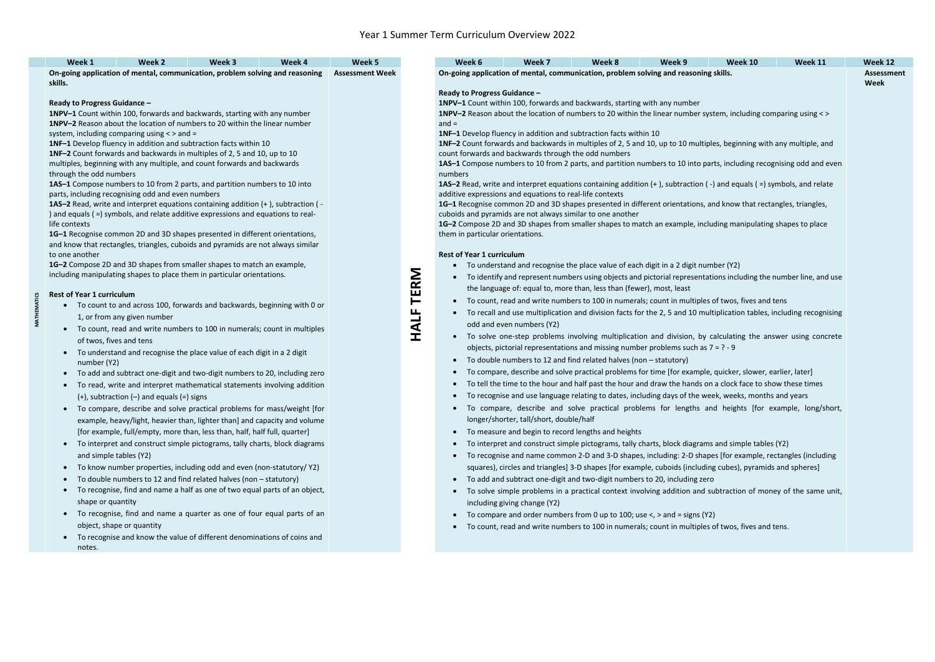**MATHEMATICS**

**MATHEMATICS** 

| Week 1<br>Week 2<br>Week 3<br>Week 4<br>On-going application of mental, communication, problem solving and reasoning                                         | Week 5<br><b>Assessment Week</b>                                                                                                    |                                                                                                                                                                                              | Week 7<br>Week 8<br>Week 9<br>Week 6<br>Week 10<br>Week 11<br>On-going application of mental, communication, problem solving and reasoning skills. | <b>Week 12</b><br><b>Assessment</b> |  |
|--------------------------------------------------------------------------------------------------------------------------------------------------------------|-------------------------------------------------------------------------------------------------------------------------------------|----------------------------------------------------------------------------------------------------------------------------------------------------------------------------------------------|----------------------------------------------------------------------------------------------------------------------------------------------------|-------------------------------------|--|
| skills.                                                                                                                                                      |                                                                                                                                     |                                                                                                                                                                                              |                                                                                                                                                    |                                     |  |
| Ready to Progress Guidance -                                                                                                                                 |                                                                                                                                     |                                                                                                                                                                                              | Ready to Progress Guidance -                                                                                                                       |                                     |  |
| 1NPV-1 Count within 100, forwards and backwards, starting with any number                                                                                    |                                                                                                                                     | 1NPV-1 Count within 100, forwards and backwards, starting with any number<br>1NPV-2 Reason about the location of numbers to 20 within the linear number system, including comparing using <> |                                                                                                                                                    |                                     |  |
| 1NPV-2 Reason about the location of numbers to 20 within the linear number                                                                                   |                                                                                                                                     | $and =$                                                                                                                                                                                      |                                                                                                                                                    |                                     |  |
| system, including comparing using < > and =                                                                                                                  |                                                                                                                                     | 1NF-1 Develop fluency in addition and subtraction facts within 10                                                                                                                            |                                                                                                                                                    |                                     |  |
| 1NF-1 Develop fluency in addition and subtraction facts within 10                                                                                            |                                                                                                                                     | 1NF-2 Count forwards and backwards in multiples of 2, 5 and 10, up to 10 multiples, beginning with any multiple, and                                                                         |                                                                                                                                                    |                                     |  |
| 1NF-2 Count forwards and backwards in multiples of 2, 5 and 10, up to 10                                                                                     |                                                                                                                                     | count forwards and backwards through the odd numbers                                                                                                                                         |                                                                                                                                                    |                                     |  |
| multiples, beginning with any multiple, and count forwards and backwards                                                                                     |                                                                                                                                     | 1AS-1 Compose numbers to 10 from 2 parts, and partition numbers to 10 into parts, including recognising odd and even                                                                         |                                                                                                                                                    |                                     |  |
| through the odd numbers                                                                                                                                      |                                                                                                                                     | numbers                                                                                                                                                                                      |                                                                                                                                                    |                                     |  |
| 1AS-1 Compose numbers to 10 from 2 parts, and partition numbers to 10 into<br>parts, including recognising odd and even numbers                              | <b>1AS-2</b> Read, write and interpret equations containing addition $(+)$ , subtraction $(-)$ and equals $(=)$ symbols, and relate |                                                                                                                                                                                              | additive expressions and equations to real-life contexts                                                                                           |                                     |  |
| 1AS-2 Read, write and interpret equations containing addition (+), subtraction (-                                                                            |                                                                                                                                     |                                                                                                                                                                                              | 1G-1 Recognise common 2D and 3D shapes presented in different orientations, and know that rectangles, triangles,                                   |                                     |  |
| ) and equals ( =) symbols, and relate additive expressions and equations to real-                                                                            |                                                                                                                                     | cuboids and pyramids are not always similar to one another                                                                                                                                   |                                                                                                                                                    |                                     |  |
| life contexts                                                                                                                                                |                                                                                                                                     |                                                                                                                                                                                              | 1G-2 Compose 2D and 3D shapes from smaller shapes to match an example, including manipulating shapes to place                                      |                                     |  |
| 1G-1 Recognise common 2D and 3D shapes presented in different orientations,                                                                                  |                                                                                                                                     |                                                                                                                                                                                              | them in particular orientations.                                                                                                                   |                                     |  |
| and know that rectangles, triangles, cuboids and pyramids are not always similar                                                                             |                                                                                                                                     |                                                                                                                                                                                              |                                                                                                                                                    |                                     |  |
| to one another                                                                                                                                               |                                                                                                                                     |                                                                                                                                                                                              | <b>Rest of Year 1 curriculum</b>                                                                                                                   |                                     |  |
| 1G-2 Compose 2D and 3D shapes from smaller shapes to match an example,                                                                                       |                                                                                                                                     |                                                                                                                                                                                              | • To understand and recognise the place value of each digit in a 2 digit number (Y2)                                                               |                                     |  |
| including manipulating shapes to place them in particular orientations.                                                                                      |                                                                                                                                     |                                                                                                                                                                                              | • To identify and represent numbers using objects and pictorial representations including the number line, and use                                 |                                     |  |
| <b>Rest of Year 1 curriculum</b>                                                                                                                             |                                                                                                                                     | <b>TERM</b>                                                                                                                                                                                  | the language of: equal to, more than, less than (fewer), most, least                                                                               |                                     |  |
| To count to and across 100, forwards and backwards, beginning with 0 or                                                                                      |                                                                                                                                     |                                                                                                                                                                                              | • To count, read and write numbers to 100 in numerals; count in multiples of twos, fives and tens                                                  |                                     |  |
| 1, or from any given number                                                                                                                                  |                                                                                                                                     | <b>HALF</b>                                                                                                                                                                                  | • To recall and use multiplication and division facts for the 2, 5 and 10 multiplication tables, including recognising                             |                                     |  |
| To count, read and write numbers to 100 in numerals; count in multiples<br>$\bullet$                                                                         |                                                                                                                                     |                                                                                                                                                                                              | odd and even numbers (Y2)                                                                                                                          |                                     |  |
| of twos, fives and tens                                                                                                                                      |                                                                                                                                     |                                                                                                                                                                                              | • To solve one-step problems involving multiplication and division, by calculating the answer using concrete                                       |                                     |  |
| To understand and recognise the place value of each digit in a 2 digit                                                                                       |                                                                                                                                     |                                                                                                                                                                                              | objects, pictorial representations and missing number problems such as $7 = ? - 9$                                                                 |                                     |  |
| number (Y2)                                                                                                                                                  |                                                                                                                                     |                                                                                                                                                                                              | • To double numbers to 12 and find related halves (non - statutory)                                                                                |                                     |  |
| To add and subtract one-digit and two-digit numbers to 20, including zero<br>$\bullet$                                                                       |                                                                                                                                     |                                                                                                                                                                                              | To compare, describe and solve practical problems for time [for example, quicker, slower, earlier, later]<br>$\bullet$                             |                                     |  |
| To read, write and interpret mathematical statements involving addition<br>$\bullet$                                                                         |                                                                                                                                     |                                                                                                                                                                                              | • To tell the time to the hour and half past the hour and draw the hands on a clock face to show these times                                       |                                     |  |
| $(+)$ , subtraction $(-)$ and equals $(=)$ signs                                                                                                             |                                                                                                                                     |                                                                                                                                                                                              | To recognise and use language relating to dates, including days of the week, weeks, months and years                                               |                                     |  |
| To compare, describe and solve practical problems for mass/weight [for                                                                                       |                                                                                                                                     |                                                                                                                                                                                              | • To compare, describe and solve practical problems for lengths and heights [for example, long/short,                                              |                                     |  |
| example, heavy/light, heavier than, lighter than] and capacity and volume                                                                                    |                                                                                                                                     |                                                                                                                                                                                              | longer/shorter, tall/short, double/half                                                                                                            |                                     |  |
| [for example, full/empty, more than, less than, half, half full, quarter]                                                                                    |                                                                                                                                     |                                                                                                                                                                                              | • To measure and begin to record lengths and heights                                                                                               |                                     |  |
| To interpret and construct simple pictograms, tally charts, block diagrams<br>$\bullet$                                                                      |                                                                                                                                     |                                                                                                                                                                                              | To interpret and construct simple pictograms, tally charts, block diagrams and simple tables (Y2)<br>$\bullet$                                     |                                     |  |
| and simple tables (Y2)                                                                                                                                       |                                                                                                                                     |                                                                                                                                                                                              | • To recognise and name common 2-D and 3-D shapes, including: 2-D shapes [for example, rectangles (including                                       |                                     |  |
| To know number properties, including odd and even (non-statutory/Y2)<br>$\bullet$                                                                            |                                                                                                                                     |                                                                                                                                                                                              | squares), circles and triangles] 3-D shapes [for example, cuboids (including cubes), pyramids and spheres]                                         |                                     |  |
|                                                                                                                                                              |                                                                                                                                     |                                                                                                                                                                                              | • To add and subtract one-digit and two-digit numbers to 20, including zero                                                                        |                                     |  |
| To double numbers to 12 and find related halves (non - statutory)<br>To recognise, find and name a half as one of two equal parts of an object,<br>$\bullet$ |                                                                                                                                     |                                                                                                                                                                                              |                                                                                                                                                    |                                     |  |
| shape or quantity                                                                                                                                            |                                                                                                                                     |                                                                                                                                                                                              | • To solve simple problems in a practical context involving addition and subtraction of money of the same unit,                                    |                                     |  |
|                                                                                                                                                              |                                                                                                                                     |                                                                                                                                                                                              | including giving change (Y2)                                                                                                                       |                                     |  |
| To recognise, find and name a quarter as one of four equal parts of an<br>$\bullet$                                                                          |                                                                                                                                     |                                                                                                                                                                                              | • To compare and order numbers from 0 up to 100; use $\lt$ , $>$ and = signs (Y2)                                                                  |                                     |  |
| object, shape or quantity                                                                                                                                    |                                                                                                                                     |                                                                                                                                                                                              | To count, read and write numbers to 100 in numerals; count in multiples of twos, fives and tens.                                                   |                                     |  |
| To recognise and know the value of different denominations of coins and<br>$\bullet$                                                                         |                                                                                                                                     |                                                                                                                                                                                              |                                                                                                                                                    |                                     |  |
| notes.                                                                                                                                                       |                                                                                                                                     |                                                                                                                                                                                              |                                                                                                                                                    |                                     |  |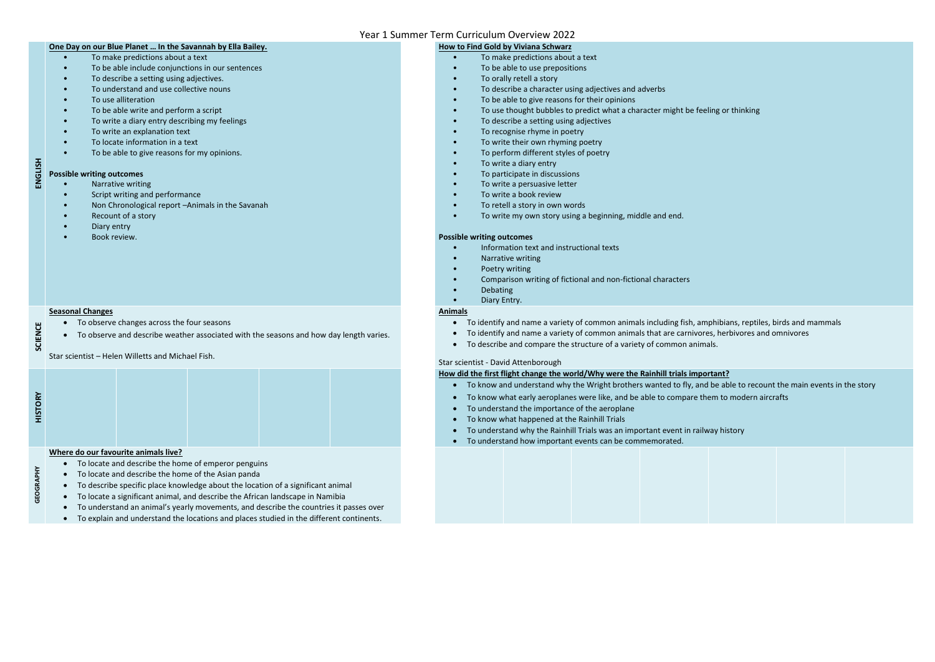#### **One Day on our Blue Planet … In the Savannah by Ella Bailey.**

- Narrative writing
- Script writing and performance
- Non Chronological report –Animals in the Savanah
- Recount of a story
- Diary entry
- Book review.

## **ENGLISH Possible writing outcomes**

- To make predictions about a text
- To be able include conjunctions in our sentences
- To describe a setting using adjectives.
- To understand and use collective nouns
- To use alliteration
- To be able write and perform a script
- To write a diary entry describing my feelings
- To write an explanation text
- To locate information in a text
- To be able to give reasons for my opinions.

#### **How to Find Gold by Viviana Schwarz**

- To observe changes across the four seasons
- To observe and describe weather associated with the seasons and how day length varies.
- To make predictions about a text
- To be able to use prepositions
- To orally retell a story
- To describe a character using adjectives and adverbs
- To be able to give reasons for their opinions
- To use thought bubbles to predict what a character might be feeling or thinking
- To describe a setting using adjectives
- To recognise rhyme in poetry
- To write their own rhyming poetry
- To perform different styles of poetry
- To write a diary entry
- To participate in discussions
- To write a persuasive letter
- To write a book review
- To retell a story in own words
- To write my own story using a beginning, middle and end.

#### **Possible writing outcomes**

- Information text and instructional texts
- Narrative writing
- Poetry writing
- Comparison writing of fictional and non-fictional characters
- Debating
- Diary Entry.

**SCIENCE**

#### **Seasonal Changes**

#### **Animals**

- To identify and name a variety of common animals including fish, amphibians, reptiles, birds and mammals
- To identify and name a variety of common animals that are carnivores, herbivores and omnivores
- To describe and compare the structure of a variety of common animals.

#### Star scientist - David Attenborough

| ہم |  |  |  |
|----|--|--|--|
|    |  |  |  |
|    |  |  |  |
|    |  |  |  |

#### **How did the first flight change the world/Why were the Rainhill trials important?**

- To know and understand why the Wright brothers wanted to fly, and be able to recount the main events in the story
- To know what early aeroplanes were like, and be able to compare them to modern aircrafts
- To understand the importance of the aeroplane
- To know what happened at the Rainhill Trials
- To understand why the Rainhill Trials was an important event in railway history
- To understand how important events can be commemorated.



**GEOGRAPHY**

#### **Where do our favourite animals live?**

- To locate and describe the home of emperor penguins
- To locate and describe the home of the Asian panda
- To describe specific place knowledge about the location of a significant animal
- To locate a significant animal, and describe the African landscape in Namibia
- To understand an animal's yearly movements, and describe the countries it passes over
- To explain and understand the locations and places studied in the different continents.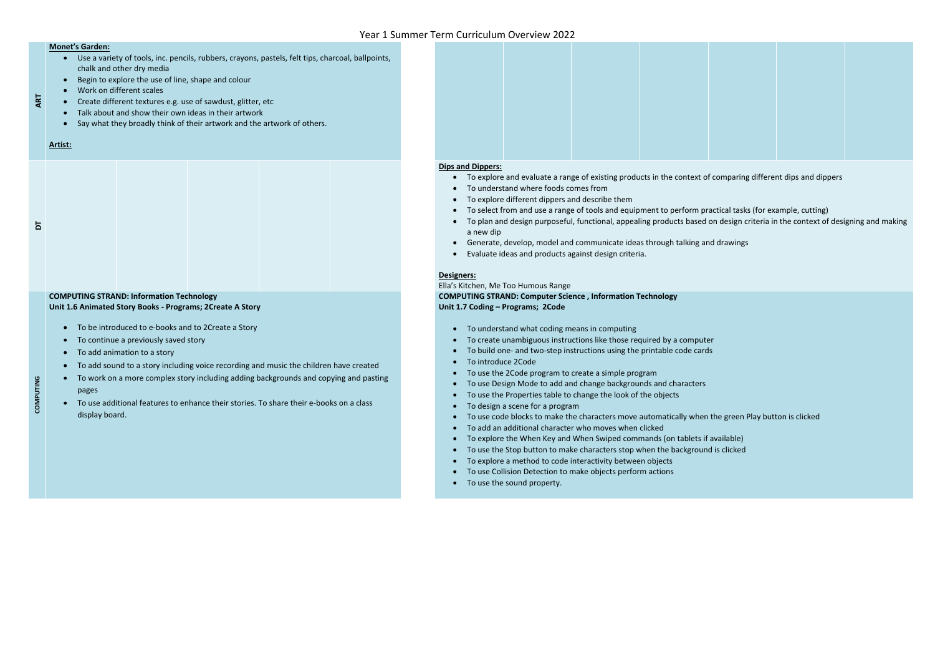- Use a variety of tools, inc. pencils, rubbers, crayons, pastels, felt tips, charcoal, ballpoints, chalk and other dry media
- Begin to explore the use of line, shape and colour
- Work on different scales
- Create different textures e.g. use of sawdust, glitter, etc
- Talk about and show their own ideas in their artwork
- Say what they broadly think of their artwork and the artwork of others.

**ART**

#### **Monet's Garden:**

#### **Artist:**

#### **Dips and Dippers:**

- To explore and evaluate a range of existing products in the context of comparing different dips and dippers
- To understand where foods comes from
- To explore different dippers and describe them
- To select from and use a range of tools and equipment to perform practical tasks (for example, cutting)
- To plan and design purposeful, functional, appealing products based on design criteria in the context of designing and making a new dip
- Generate, develop, model and communicate ideas through talking and drawings
- Evaluate ideas and products against design criteria.

- To continue a previously saved story
- To add animation to a story
- To add sound to a story including voice recording and music the children have created
- To work on a more complex story including adding backgrounds and copying and pasting pages
- To use additional features to enhance their stories. To share their e-books on a class display board.



#### **Designers:**

**COMPUTING**

Ella's Kitchen, Me Too Humous Range **COMPUTING STRAND: Computer Science , Information Technology Unit 1.7 Coding – Programs; 2Code**

- To understand what coding means in computing
- To create unambiguous instructions like those required by a computer
- To build one- and two-step instructions using the printable code cards
- To introduce 2Code
- To use the 2Code program to create a simple program
- To use Design Mode to add and change backgrounds and characters
- To use the Properties table to change the look of the objects
- To design a scene for a program
- To use code blocks to make the characters move automatically when the green Play button is clicked
- To add an additional character who moves when clicked
- To explore the When Key and When Swiped commands (on tablets if available)
- To use the Stop button to make characters stop when the background is clicked
- To explore a method to code interactivity between objects
- To use Collision Detection to make objects perform actions
- To use the sound property.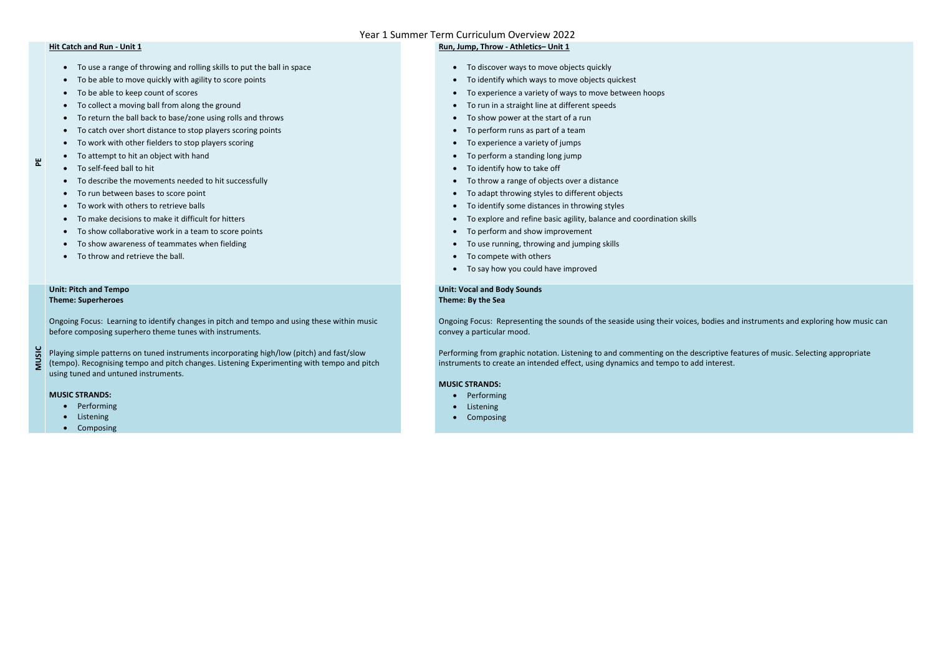**PE**

#### **Hit Catch and Run - Unit 1**

- To describe the movements needed to hit successfully
- To run between bases to score point
- To work with others to retrieve balls
- To make decisions to make it difficult for hitters
- To show collaborative work in a team to score points
- To show awareness of teammates when fielding
- To throw and retrieve the ball.
- To use a range of throwing and rolling skills to put the ball in space
- To be able to move quickly with agility to score points
- To be able to keep count of scores
- To collect a moving ball from along the ground
- To return the ball back to base/zone using rolls and throws
- To catch over short distance to stop players scoring points
- To work with other fielders to stop players scoring
- To attempt to hit an object with hand
- To self-feed ball to hit

## **Run, Jump, Throw - Athletics– Unit 1**

- To discover ways to move objects quickly
- To identify which ways to move objects quickest
- To experience a variety of ways to move between hoops
- To run in a straight line at different speeds
- To show power at the start of a run
- To perform runs as part of a team
- To experience a variety of jumps
- To perform a standing long jump
- To identify how to take off
- To throw a range of objects over a distance
- To adapt throwing styles to different objects
- To identify some distances in throwing styles
- To explore and refine basic agility, balance and coordination skills
- To perform and show improvement
- To use running, throwing and jumping skills
- To compete with others
- To say how you could have improved

**MUSIC**

#### **Unit: Pitch and Tempo Theme: Superheroes**

Ongoing Focus: Learning to identify changes in pitch and tempo and using these within music before composing superhero theme tunes with instruments.

Playing simple patterns on tuned instruments incorporating high/low (pitch) and fast/slow (tempo). Recognising tempo and pitch changes. Listening Experimenting with tempo and pitch using tuned and untuned instruments.

#### **MUSIC STRANDS:**

- Performing
- Listening
- Composing

**Unit: Vocal and Body Sounds Theme: By the Sea**

Ongoing Focus: Representing the sounds of the seaside using their voices, bodies and instruments and exploring how music can convey a particular mood.

Performing from graphic notation. Listening to and commenting on the descriptive features of music. Selecting appropriate instruments to create an intended effect, using dynamics and tempo to add interest.

#### **MUSIC STRANDS:**

- Performing
- **•** Listening
- Composing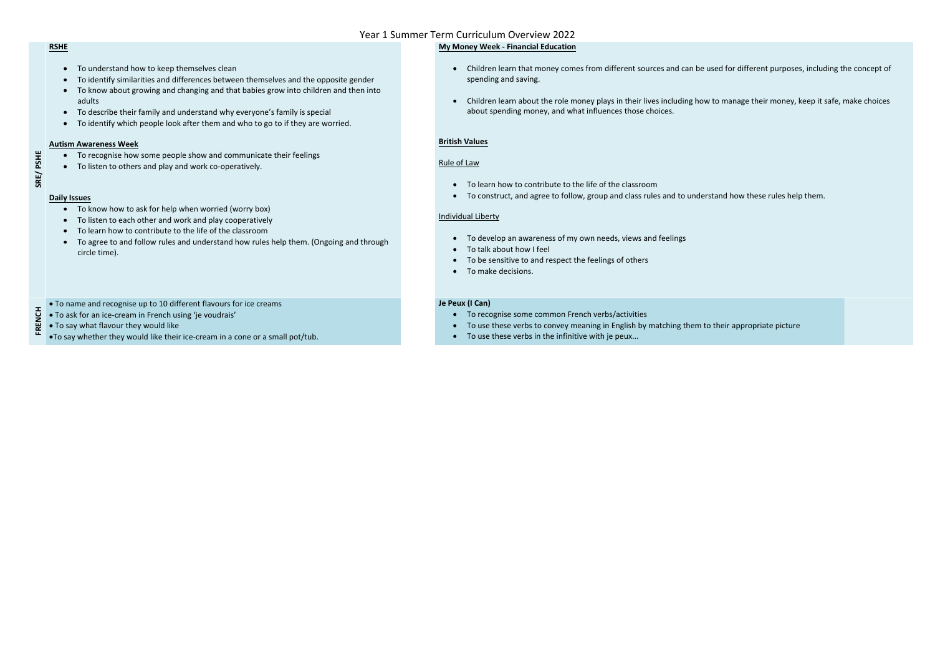# **SRE/ PSHE**

#### **RSHE**

- To understand how to keep themselves clean
- To identify similarities and differences between themselves and the opposite gender
- To know about growing and changing and that babies grow into children and then into adults
- To describe their family and understand why everyone's family is special
- To identify which people look after them and who to go to if they are worried.

#### **Autism Awareness Week**

- To recognise how some people show and communicate their feelings
- To listen to others and play and work co-operatively.

#### **Daily Issues**

- To know how to ask for help when worried (worry box)
- To listen to each other and work and play cooperatively
- To learn how to contribute to the life of the classroom
- To agree to and follow rules and understand how rules help them. (Ongoing and through circle time).

#### **My Money Week - Financial Education**

- Children learn that money comes from different sources and can be used for different purposes, including the concept of spending and saving.
- Children learn about the role money plays in their lives including how to manage their money, keep it safe, make choices about spending money, and what influences those choices.

#### **British Values**

#### Rule of Law

- To learn how to contribute to the life of the classroom
- To construct, and agree to follow, group and class rules and to understand how these rules help them.

#### Individual Liberty

- To develop an awareness of my own needs, views and feelings
- To talk about how I feel
- To be sensitive to and respect the feelings of others
- To make decisions.

To name and recognise up to 10 different flavours for ice creams

- To ask for an ice-cream in French using 'je voudrais'
- To say what flavour they would like
- **FRENCH** To say whether they would like their ice-cream in a cone or a small pot/tub.

#### **Je Peux (I Can)**

- To recognise some common French verbs/activities
- To use these verbs to convey meaning in English by matching them to their appropriate picture
- To use these verbs in the infinitive with je peux...